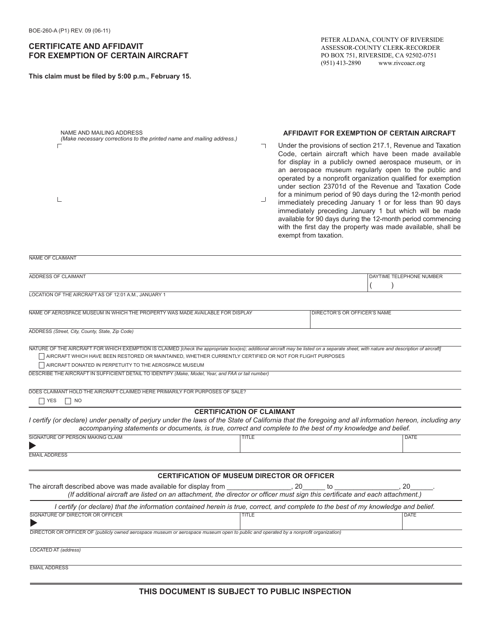## **CERTIFICATE AND AFFIDAVIT FOR EXEMPTION OF CERTAIN AIRCRAFT**

**This claim must be filed by 5:00 p.m., February 15.**

NAME AND MAILING ADDRESS *(Make necessary corrections to the printed name and mailing address.)*

## **AFFIDAVIT FOR EXEMPTION OF CERTAIN AIRCRAFT**

 $\Gamma$ Under the provisions of section 217.1, Revenue and Taxation Code, certain aircraft which have been made available for display in a publicly owned aerospace museum, or in an aerospace museum regularly open to the public and operated by a nonprofit organization qualified for exemption under section 23701d of the Revenue and Taxation Code for a minimum period of 90 days during the 12-month period  $\mathbf{I}$  $\Box$ immediately preceding January 1 or for less than 90 days immediately preceding January 1 but which will be made available for 90 days during the 12-month period commencing with the first day the property was made available, shall be exempt from taxation. NAME OF CLAIMANT ADDRESS OF CLAIMANT **DAYTIME TELEPHONE NUMBER DAYTIME TELEPHONE NUMBER**  $($ LOCATION OF THE AIRCRAFT AS OF 12:01 A.M., JANUARY 1 NAME OF AEROSPACE MUSEUM IN WHICH THE PROPERTY WAS MADE AVAILABLE FOR DISPLAY DIRECTOR'S OR OFFICER'S NAME ADDRESS *(Street, City, County, State, Zip Code)* NATURE OF THE AIRCRAFT FOR WHICH EXEMPTION IS CLAIMED *[check the appropriate box(es); additional aircraft may be listed on a separate sheet, with nature and description of aircraft]* AIRCRAFT WHICH HAVE BEEN RESTORED OR MAINTAINED, WHETHER CURRENTLY CERTIFIED OR NOT FOR FLIGHT PURPOSES AIRCRAFT DONATED IN PERPETUITY TO THE AEROSPACE MUSEUM DESCRIBE THE AIRCRAFT IN SUFFICIENT DETAIL TO IDENTIFY *(Make, Model, Year, and FAA or tail number)* DOES CLAIMANT HOLD THE AIRCRAFT CLAIMED HERE PRIMARILY FOR PURPOSES OF SALE? YES NO **CERTIFICATION OF CLAIMANT** *I* certify (or declare) under penalty of perjury under the laws of the State of California that the foregoing and all information hereon, including any *accompanying statements or documents, is true, correct and complete to the best of my knowledge and belief.* SIGNATURE OF PERSON MAKING CLAIM **The CONSTRUCTIVE CONSTRUCTS OF PERSON MAKING CLAIM** EMAIL ADDRESS

| <b>CERTIFICATION OF MUSEUM DIRECTOR OR OFFICER</b>                                                                                                                                                |       |  |      |
|---------------------------------------------------------------------------------------------------------------------------------------------------------------------------------------------------|-------|--|------|
| The aircraft described above was made available for display from<br>(If additional aircraft are listed on an attachment, the director or officer must sign this certificate and each attachment.) | . 20  |  | 20   |
| I certify (or declare) that the information contained herein is true, correct, and complete to the best of my knowledge and belief.                                                               |       |  |      |
| SIGNATURE OF DIRECTOR OR OFFICER                                                                                                                                                                  | TITLE |  | DATE |
| <b>DIRECTOR OR OFFICED OF</b> Authorities and concerns conserved and conserved and conserved by a second conservation                                                                             |       |  |      |

DIRECTOR OR OFFICER OF *(publicly owned aerospace museum or aerospace museum open to public and operated by a nonprofit organization)*

LOCATED AT *(address)*

EMAIL ADDRESS

 $\blacktriangleright$